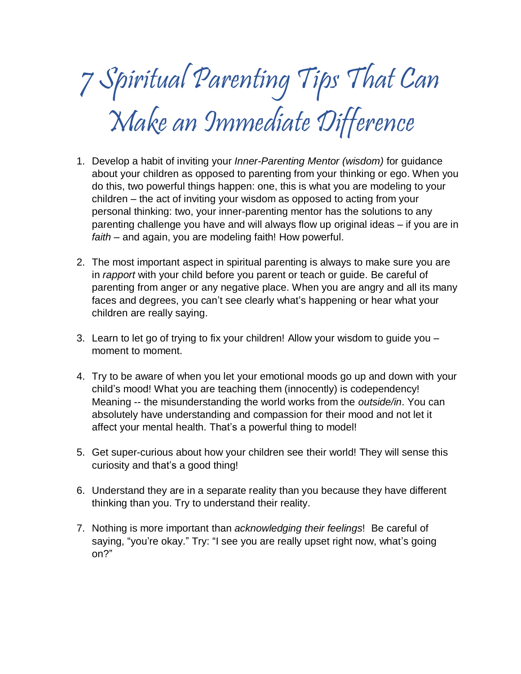# 7 Spiritual Parenting Tips That Can Make an Immediate Difference

- 1. Develop a habit of inviting your *Inner-Parenting Mentor (wisdom)* for guidance about your children as opposed to parenting from your thinking or ego. When you do this, two powerful things happen: one, this is what you are modeling to your children – the act of inviting your wisdom as opposed to acting from your personal thinking: two, your inner-parenting mentor has the solutions to any parenting challenge you have and will always flow up original ideas – if you are in *faith* – and again, you are modeling faith! How powerful.
- 2. The most important aspect in spiritual parenting is always to make sure you are in *rapport* with your child before you parent or teach or guide. Be careful of parenting from anger or any negative place. When you are angry and all its many faces and degrees, you can't see clearly what's happening or hear what your children are really saying.
- 3. Learn to let go of trying to fix your children! Allow your wisdom to guide you moment to moment.
- 4. Try to be aware of when you let your emotional moods go up and down with your child's mood! What you are teaching them (innocently) is codependency! Meaning -- the misunderstanding the world works from the *outside/in*. You can absolutely have understanding and compassion for their mood and not let it affect your mental health. That's a powerful thing to model!
- 5. Get super-curious about how your children see their world! They will sense this curiosity and that's a good thing!
- 6. Understand they are in a separate reality than you because they have different thinking than you. Try to understand their reality.
- 7. Nothing is more important than *acknowledging their feelings*! Be careful of saying, "you're okay." Try: "I see you are really upset right now, what's going on?"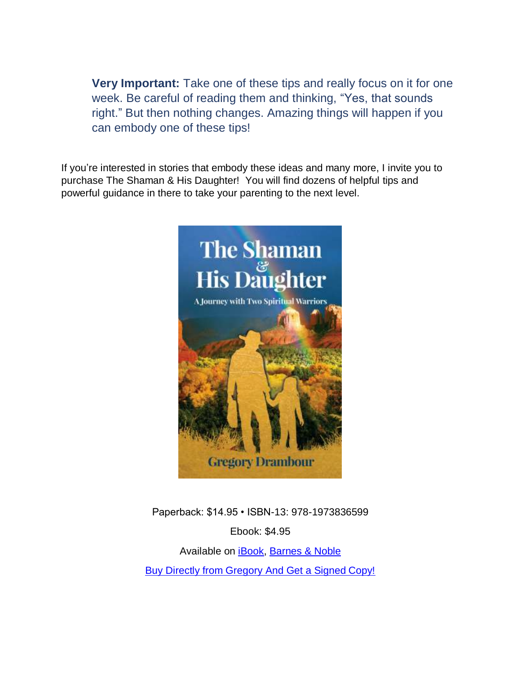**Very Important:** Take one of these tips and really focus on it for one week. Be careful of reading them and thinking, "Yes, that sounds right." But then nothing changes. Amazing things will happen if you can embody one of these tips!

If you're interested in stories that embody these ideas and many more, I invite you to purchase The Shaman & His Daughter! You will find dozens of helpful tips and powerful guidance in there to take your parenting to the next level.



Paperback: \$14.95 • ISBN-13: 978-1973836599 Ebook: \$4.95 Available on **Book**, [Barnes & Noble](https://www.barnesandnoble.com/w/the-shaman-his-daughter-gregory-drambour/1126864283?ean=2940154480083) [Buy Directly from Gregory And Get a Signed Copy!](http://bit.ly/2vjFbHE)